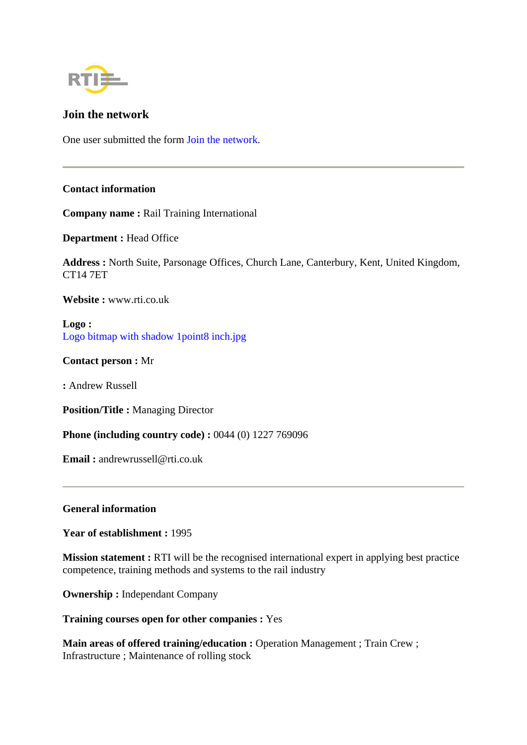

# **Join the network**

One user submitted the form Join the network.

## **Contact information**

**Company name :** Rail Training International

**Department :** Head Office

**Address :** North Suite, Parsonage Offices, Church Lane, Canterbury, Kent, United Kingdom, CT14 7ET

**Website :** www.rti.co.uk

**Logo :** Logo bitmap with shadow 1point8 inch.jpg

**Contact person :** Mr

**:** Andrew Russell

**Position/Title :** Managing Director

**Phone (including country code) :** 0044 (0) 1227 769096

**Email :** andrewrussell@rti.co.uk

### **General information**

**Year of establishment :** 1995

**Mission statement :** RTI will be the recognised international expert in applying best practice competence, training methods and systems to the rail industry

**Ownership :** Independant Company

**Training courses open for other companies :** Yes

**Main areas of offered training/education :** Operation Management ; Train Crew ; Infrastructure ; Maintenance of rolling stock